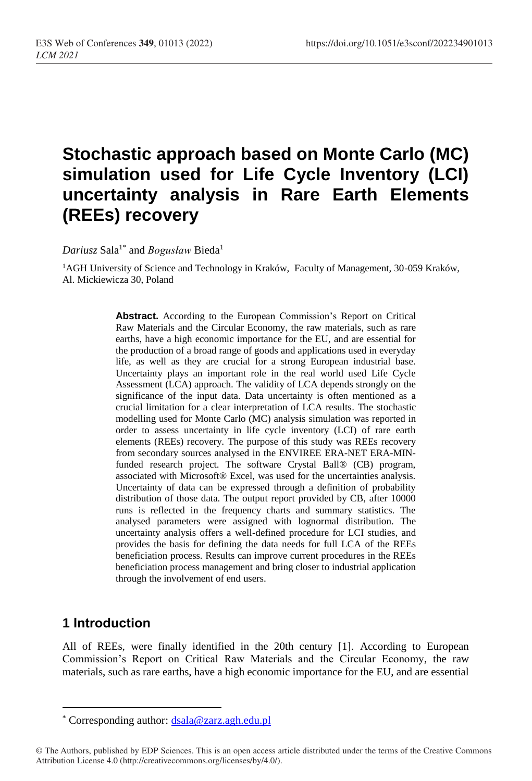# **Stochastic approach based on Monte Carlo (MC) simulation used for Life Cycle Inventory (LCI) uncertainty analysis in Rare Earth Elements (REEs) recovery**

 $Dariusz$  Sala<sup>1\*</sup> and *Bogusław* Bieda<sup>1</sup>

<sup>1</sup>AGH University of Science and Technology in Kraków, Faculty of Management, 30-059 Kraków, Al. Mickiewicza 30, Poland

> **Abstract.** According to the European Commission's Report on Critical Raw Materials and the Circular Economy, the raw materials, such as rare earths, have a high economic importance for the EU, and are essential for the production of a broad range of goods and applications used in everyday life, as well as they are crucial for a strong European industrial base. Uncertainty plays an important role in the real world used Life Cycle Assessment (LCA) approach. The validity of LCA depends strongly on the significance of the input data. Data uncertainty is often mentioned as a crucial limitation for a clear interpretation of LCA results. The stochastic modelling used for Monte Carlo (MC) analysis simulation was reported in order to assess uncertainty in life cycle inventory (LCI) of rare earth elements (REEs) recovery. The purpose of this study was REEs recovery from secondary sources analysed in the ENVIREE ERA-NET ERA-MINfunded research project. The software Crystal Ball® (CB) program, associated with Microsoft® Excel, was used for the uncertainties analysis. Uncertainty of data can be expressed through a definition of probability distribution of those data. The output report provided by CB, after 10000 runs is reflected in the frequency charts and summary statistics. The analysed parameters were assigned with lognormal distribution. The uncertainty analysis offers a well-defined procedure for LCI studies, and provides the basis for defining the data needs for full LCA of the REEs beneficiation process. Results can improve current procedures in the REEs beneficiation process management and bring closer to industrial application through the involvement of end users.

### **1 Introduction**

 $\overline{a}$ 

All of REEs, were finally identified in the 20th century [1]. According to European Commission's Report on Critical Raw Materials and the Circular Economy, the raw materials, such as rare earths, have a high economic importance for the EU, and are essential

<sup>\*</sup> Corresponding author: [dsala@zarz.agh.edu.pl](mailto:dsala@zarz.agh.edu.pl)

<sup>©</sup> The Authors, published by EDP Sciences. This is an open access article distributed under the terms of the Creative Commons Attribution License 4.0 (http://creativecommons.org/licenses/by/4.0/).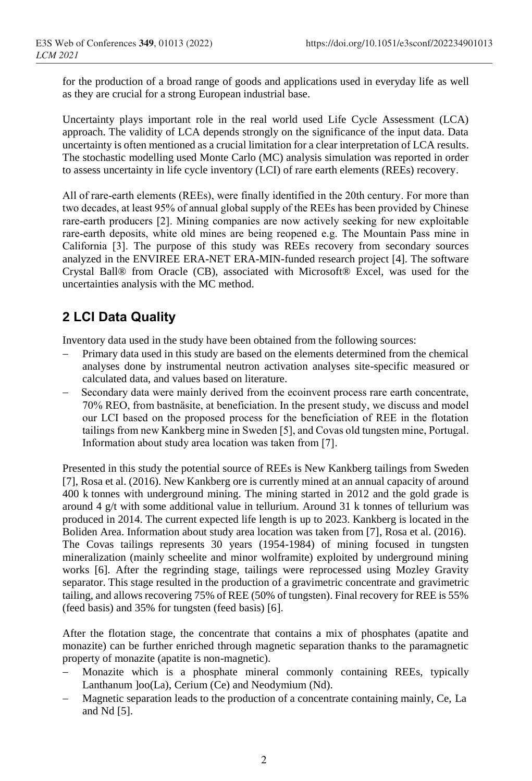for the production of a broad range of goods and applications used in everyday life as well as they are crucial for a strong European industrial base.

Uncertainty plays important role in the real world used Life Cycle Assessment (LCA) approach. The validity of LCA depends strongly on the significance of the input data. Data uncertainty is often mentioned as a crucial limitation for a clear interpretation of LCA results. The stochastic modelling used Monte Carlo (MC) analysis simulation was reported in order to assess uncertainty in life cycle inventory (LCI) of rare earth elements (REEs) recovery.

All of rare-earth elements (REEs), were finally identified in the 20th century. For more than two decades, at least 95% of annual global supply of the REEs has been provided by Chinese rare-earth producers [2]. Mining companies are now actively seeking for new exploitable rare-earth deposits, white old mines are being reopened e.g. The Mountain Pass mine in California [3]. The purpose of this study was REEs recovery from secondary sources analyzed in the ENVIREE ERA-NET ERA-MIN-funded research project [4]. The software Crystal Ball® from Oracle (CB), associated with Microsoft® Excel, was used for the uncertainties analysis with the MC method.

# **2 LCI Data Quality**

Inventory data used in the study have been obtained from the following sources:

- Primary data used in this study are based on the elements determined from the chemical analyses done by instrumental neutron activation analyses site-specific measured or calculated data, and values based on literature.
- Secondary data were mainly derived from the ecoinvent process rare earth concentrate, 70% REO, from bastnäsite, at beneficiation. In the present study, we discuss and model our LCI based on the proposed process for the beneficiation of REE in the flotation tailings from new Kankberg mine in Sweden [5], and Covas old tungsten mine, Portugal. Information about study area location was taken from [7].

Presented in this study the potential source of REEs is New Kankberg tailings from Sweden [7], Rosa et al. (2016). New Kankberg ore is currently mined at an annual capacity of around 400 k tonnes with underground mining. The mining started in 2012 and the gold grade is around 4  $g/t$  with some additional value in tellurium. Around 31 k tonnes of tellurium was produced in 2014. The current expected life length is up to 2023. Kankberg is located in the Boliden Area. Information about study area location was taken from [7], Rosa et al. (2016). The Covas tailings represents 30 years (1954-1984) of mining focused in tungsten mineralization (mainly scheelite and minor wolframite) exploited by underground mining works [6]. After the regrinding stage, tailings were reprocessed using Mozley Gravity separator. This stage resulted in the production of a gravimetric concentrate and gravimetric tailing, and allows recovering 75% of REE (50% of tungsten). Final recovery for REE is 55% (feed basis) and 35% for tungsten (feed basis) [6].

After the flotation stage, the concentrate that contains a mix of phosphates (apatite and monazite) can be further enriched through magnetic separation thanks to the paramagnetic property of monazite (apatite is non-magnetic).

- Monazite which is a phosphate mineral commonly containing REEs, typically Lanthanum ]oo(La), Cerium (Ce) and Neodymium (Nd).
- Magnetic separation leads to the production of a concentrate containing mainly, Ce, La and Nd [5].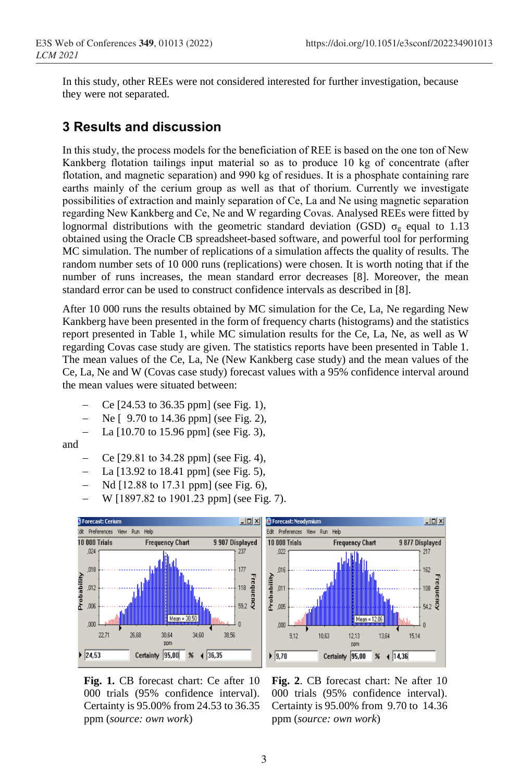In this study, other REEs were not considered interested for further investigation, because they were not separated.

### **3 Results and discussion**

In this study, the process models for the beneficiation of REE is based on the one ton of New Kankberg flotation tailings input material so as to produce 10 kg of concentrate (after flotation, and magnetic separation) and 990 kg of residues. It is a phosphate containing rare earths mainly of the cerium group as well as that of thorium. Currently we investigate possibilities of extraction and mainly separation of Ce, La and Ne using magnetic separation regarding New Kankberg and Ce, Ne and W regarding Covas. Analysed REEs were fitted by lognormal distributions with the geometric standard deviation (GSD)  $\sigma_{\nu}$  equal to 1.13 obtained using the Oracle CB spreadsheet-based software, and powerful tool for performing MC simulation. The number of replications of a simulation affects the quality of results. The random number sets of 10 000 runs (replications) were chosen. It is worth noting that if the number of runs increases, the mean standard error decreases [8]. Moreover, the mean standard error can be used to construct confidence intervals as described in [8].

After 10 000 runs the results obtained by MC simulation for the Ce, La, Ne regarding New Kankberg have been presented in the form of frequency charts (histograms) and the statistics report presented in Table 1, while MC simulation results for the Ce, La, Ne, as well as W regarding Covas case study are given. The statistics reports have been presented in Table 1. The mean values of the Ce, La, Ne (New Kankberg case study) and the mean values of the Ce, La, Ne and W (Covas case study) forecast values with a 95% confidence interval around the mean values were situated between:

- Ce [24.53 to 36.35 ppm] (see Fig. 1),
- Ne [ 9.70 to 14.36 ppm] (see Fig. 2),
- La [10.70 to 15.96 ppm] (see Fig. 3),

and

- Ce [29.81 to 34.28 ppm] (see Fig. 4),
- La [13.92 to 18.41 ppm] (see Fig. 5),
- Nd [12.88 to 17.31 ppm] (see Fig. 6),
- W [1897.82 to 1901.23 ppm] (see Fig. 7).



**Fig. 1.** CB forecast chart: Ce after 10 000 trials (95% confidence interval). Certainty is 95.00% from 24.53 to 36.35 ppm (*source: own work*)

**Fig. 2**. CB forecast chart: Ne after 10 000 trials (95% confidence interval). Certainty is 95.00% from 9.70 to 14.36 ppm (*source: own work*)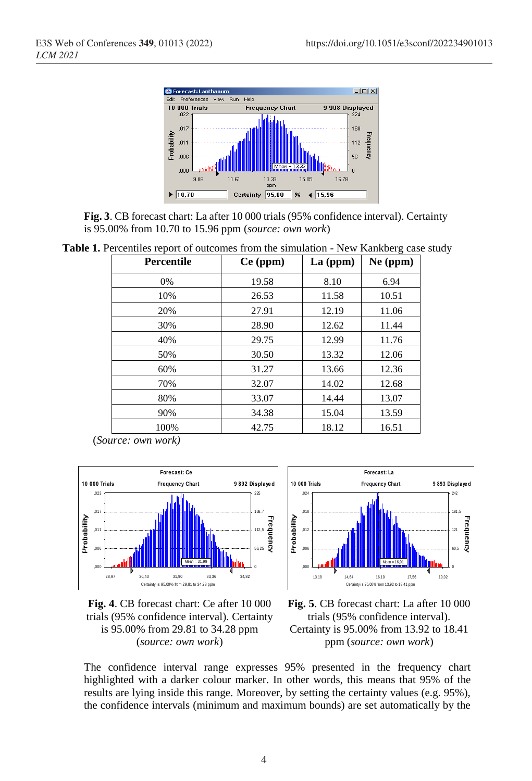

**Fig. 3**. CB forecast chart: La after 10 000 trials (95% confidence interval). Certainty is 95.00% from 10.70 to 15.96 ppm (*source: own work*)

**Table 1.** Percentiles report of outcomes from the simulation - New Kankberg case study

| <b>Percentile</b> | $Ce$ (ppm) | $La$ (ppm) | $Ne$ (ppm) |
|-------------------|------------|------------|------------|
| 0%                | 19.58      | 8.10       | 6.94       |
| 10%               | 26.53      | 11.58      | 10.51      |
| 20%               | 27.91      | 12.19      | 11.06      |
| 30%               | 28.90      | 12.62      | 11.44      |
| 40%               | 29.75      | 12.99      | 11.76      |
| 50%               | 30.50      | 13.32      | 12.06      |
| 60%               | 31.27      | 13.66      | 12.36      |
| 70%               | 32.07      | 14.02      | 12.68      |
| 80%               | 33.07      | 14.44      | 13.07      |
| 90%               | 34.38      | 15.04      | 13.59      |
| 100%              | 42.75      | 18.12      | 16.51      |

(*Source: own work)*





**Fig. 4**. CB forecast chart: Ce after 10 000 trials (95% confidence interval). Certainty is 95.00% from 29.81 to 34.28 ppm (*source: own work*)

**Fig. 5**. CB forecast chart: La after 10 000 trials (95% confidence interval). Certainty is 95.00% from 13.92 to 18.41 ppm (*source: own work*)

The confidence interval range expresses 95% presented in the frequency chart highlighted with a darker colour marker. In other words, this means that 95% of the results are lying inside this range. Moreover, by setting the certainty values (e.g. 95%), the confidence intervals (minimum and maximum bounds) are set automatically by the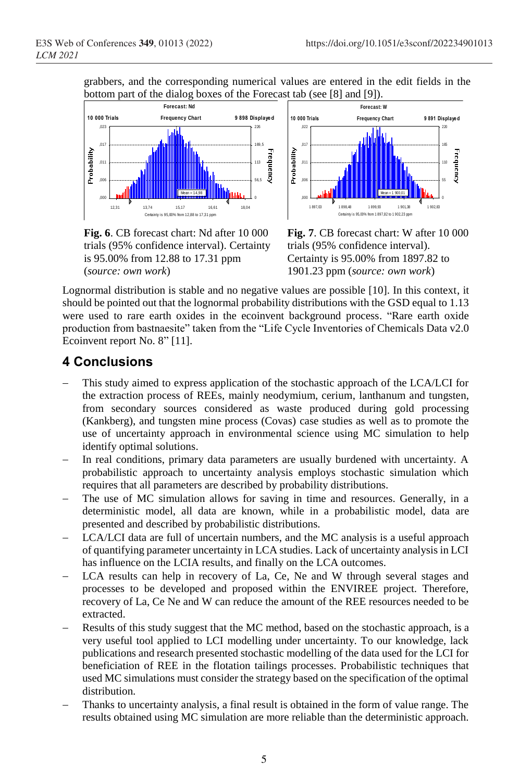grabbers, and the corresponding numerical values are entered in the edit fields in the bottom part of the dialog boxes of the Forecast tab (see [8] and [9]).



**Fig. 6**. CB forecast chart: Nd after 10 000 trials (95% confidence interval). Certainty is 95.00% from 12.88 to 17.31 ppm (*source: own work*)



**Fig. 7**. CB forecast chart: W after 10 000 trials (95% confidence interval). Certainty is 95.00% from 1897.82 to 1901.23 ppm (*source: own work*)

Lognormal distribution is stable and no negative values are possible [10]. In this context, it should be pointed out that the lognormal probability distributions with the GSD equal to 1.13 were used to rare earth oxides in the ecoinvent background process. "Rare earth oxide production from bastnaesite" taken from the "Life Cycle Inventories of Chemicals Data v2.0 Ecoinvent report No. 8" [11].

# **4 Conclusions**

- This study aimed to express application of the stochastic approach of the LCA/LCI for the extraction process of REEs, mainly neodymium, cerium, lanthanum and tungsten, from secondary sources considered as waste produced during gold processing (Kankberg), and tungsten mine process (Covas) case studies as well as to promote the use of uncertainty approach in environmental science using MC simulation to help identify optimal solutions. **Example 19 and 19 and 19 and 19 and 19 and 19 and 19 and 19 and 19 and 19 and 19 and 19 and 19 and 19 and 19 and 19 and 19 and 19 and 19 and 19 and 19 and 19 and 19 and 19 and 19 and 19 and 19 and 19 and 19 and 19 and 19**
- In real conditions, primary data parameters are usually burdened with uncertainty. A probabilistic approach to uncertainty analysis employs stochastic simulation which requires that all parameters are described by probability distributions.
- The use of MC simulation allows for saving in time and resources. Generally, in a deterministic model, all data are known, while in a probabilistic model, data are presented and described by probabilistic distributions.
- LCA/LCI data are full of uncertain numbers, and the MC analysis is a useful approach of quantifying parameter uncertainty in LCA studies. Lack of uncertainty analysis in LCI has influence on the LCIA results, and finally on the LCA outcomes.
- LCA results can help in recovery of La, Ce, Ne and W through several stages and processes to be developed and proposed within the ENVIREE project. Therefore, recovery of La, Ce Ne and W can reduce the amount of the REE resources needed to be extracted.
- Results of this study suggest that the MC method, based on the stochastic approach, is a very useful tool applied to LCI modelling under uncertainty. To our knowledge, lack publications and research presented stochastic modelling of the data used for the LCI for beneficiation of REE in the flotation tailings processes. Probabilistic techniques that used MC simulations must consider the strategy based on the specification of the optimal distribution.
- Thanks to uncertainty analysis, a final result is obtained in the form of value range. The